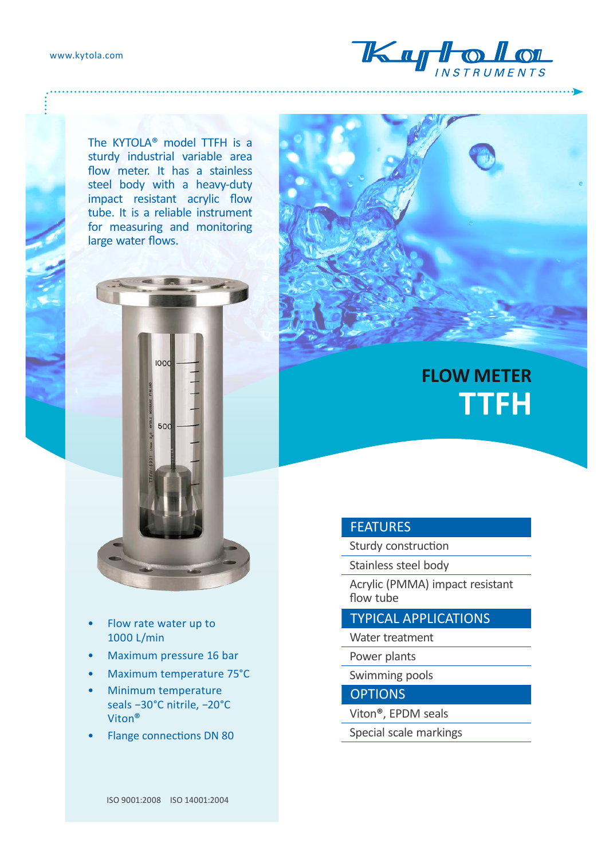

The KYTOLA® model TTFH is a sturdy industrial variable area flow meter. It has a stainless steel body with a heavy-duty impact resistant acrylic flow tube. It is a reliable instrument for measuring and monitoring large water flows.



- Flow rate water up to 1000 L/min
- Maximum pressure 16 bar
- Maximum temperature 75°C
- Minimum temperature seals −30°C nitrile, −20°C Viton®
- Flange connections DN 80



## **FLOW METER TTFH**

## FEATURES

Sturdy construction

Stainless steel body

Acrylic (PMMA) impact resistant flow tube

TYPICAL APPLICATIONS

Water treatment

Power plants

Swimming pools

**OPTIONS** 

- Viton®, EPDM seals
- Special scale markings